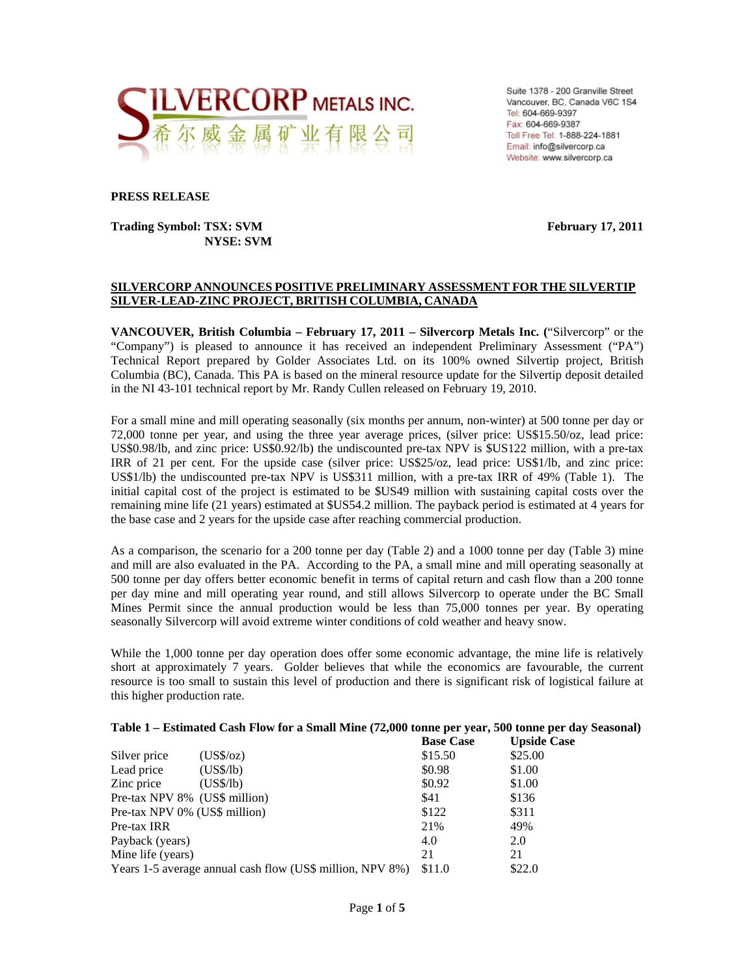

Suite 1378 - 200 Granville Street Vancouver, BC, Canada V6C 1S4 Tel: 604-669-9397 Fax: 604-669-9387 Toll Free Tel: 1-888-224-1881 Email: info@silvercorp.ca Website: www.silvercorp.ca

# **PRESS RELEASE**

## **Trading Symbol: TSX: SVM February 17, 2011 NYSE: SVM**

#### **SILVERCORP ANNOUNCES POSITIVE PRELIMINARY ASSESSMENT FOR THE SILVERTIP SILVER-LEAD-ZINC PROJECT, BRITISH COLUMBIA, CANADA**

**VANCOUVER, British Columbia – February 17, 2011 – Silvercorp Metals Inc. (**"Silvercorp" or the "Company") is pleased to announce it has received an independent Preliminary Assessment ("PA") Technical Report prepared by Golder Associates Ltd. on its 100% owned Silvertip project, British Columbia (BC), Canada. This PA is based on the mineral resource update for the Silvertip deposit detailed in the NI 43-101 technical report by Mr. Randy Cullen released on February 19, 2010.

For a small mine and mill operating seasonally (six months per annum, non-winter) at 500 tonne per day or 72,000 tonne per year, and using the three year average prices, (silver price: US\$15.50/oz, lead price: US\$0.98/lb, and zinc price: US\$0.92/lb) the undiscounted pre-tax NPV is \$US122 million, with a pre-tax IRR of 21 per cent. For the upside case (silver price: US\$25/oz, lead price: US\$1/lb, and zinc price: US\$1/lb) the undiscounted pre-tax NPV is US\$311 million, with a pre-tax IRR of 49% (Table 1). The initial capital cost of the project is estimated to be \$US49 million with sustaining capital costs over the remaining mine life (21 years) estimated at \$US54.2 million. The payback period is estimated at 4 years for the base case and 2 years for the upside case after reaching commercial production.

As a comparison, the scenario for a 200 tonne per day (Table 2) and a 1000 tonne per day (Table 3) mine and mill are also evaluated in the PA. According to the PA, a small mine and mill operating seasonally at 500 tonne per day offers better economic benefit in terms of capital return and cash flow than a 200 tonne per day mine and mill operating year round, and still allows Silvercorp to operate under the BC Small Mines Permit since the annual production would be less than 75,000 tonnes per year. By operating seasonally Silvercorp will avoid extreme winter conditions of cold weather and heavy snow.

While the 1,000 tonne per day operation does offer some economic advantage, the mine life is relatively short at approximately 7 years. Golder believes that while the economics are favourable, the current resource is too small to sustain this level of production and there is significant risk of logistical failure at this higher production rate.

|                                                           |           | <b>Base Case</b> | <b>Upside Case</b> |
|-----------------------------------------------------------|-----------|------------------|--------------------|
| Silver price                                              | (USS/oz)  | \$15.50          | \$25.00            |
| Lead price                                                | (US\$/lb) | \$0.98           | \$1.00             |
| Zinc price                                                | (US\$/lb) | \$0.92           | \$1.00             |
| Pre-tax NPV 8% (US\$ million)                             |           | \$41             | \$136              |
| Pre-tax NPV 0% (US\$ million)                             |           | \$122            | \$311              |
| Pre-tax IRR                                               |           | 21%              | 49%                |
| Payback (years)                                           |           | 4.0              | 2.0                |
| Mine life (years)                                         |           | 21               | 21                 |
| Years 1-5 average annual cash flow (US\$ million, NPV 8%) |           | \$11.0           | \$22.0             |

#### **Table 1 – Estimated Cash Flow for a Small Mine (72,000 tonne per year, 500 tonne per day Seasonal)**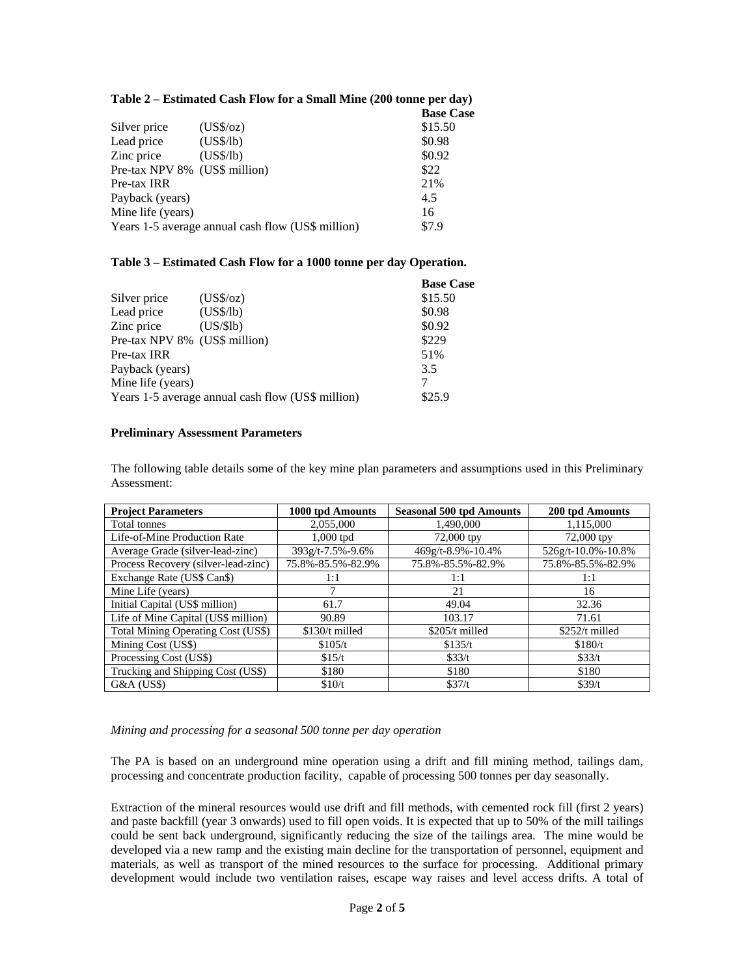| Table 2 – Estimated Cash Flow for a Small Mine (200 tonne per day) |                  |  |
|--------------------------------------------------------------------|------------------|--|
|                                                                    | <b>Base Case</b> |  |
| $(US\$/oz)$                                                        | \$15.50          |  |
| (US\$/lb)                                                          | \$0.98           |  |
| (US\$/lb)                                                          | \$0.92           |  |
| Pre-tax NPV 8% (US\$ million)                                      | \$22             |  |
|                                                                    | 21%              |  |
|                                                                    | 4.5              |  |
|                                                                    | 16               |  |
| Years 1-5 average annual cash flow (US\$ million)                  |                  |  |
|                                                                    |                  |  |

# **Table 3 – Estimated Cash Flow for a 1000 tonne per day Operation.**

|                                                   |                   | <b>Base Case</b> |
|---------------------------------------------------|-------------------|------------------|
| Silver price                                      | $(US\sqrt{5}/oz)$ | \$15.50          |
| Lead price                                        | (US\$/lb)         | \$0.98           |
| Zinc price                                        | (US/3lb)          | \$0.92           |
| Pre-tax NPV 8% (US\$ million)                     |                   | \$229            |
| Pre-tax IRR                                       |                   | 51%              |
| Payback (years)                                   |                   | 3.5              |
| Mine life (years)                                 |                   | 7                |
| Years 1-5 average annual cash flow (US\$ million) |                   | \$25.9           |

#### **Preliminary Assessment Parameters**

The following table details some of the key mine plan parameters and assumptions used in this Preliminary Assessment:

| <b>Project Parameters</b>           | 1000 tpd Amounts  | <b>Seasonal 500 tpd Amounts</b> | 200 tpd Amounts    |
|-------------------------------------|-------------------|---------------------------------|--------------------|
| Total tonnes                        | 2,055,000         | 1,490,000                       | 1,115,000          |
| Life-of-Mine Production Rate        | 1,000 tpd         | 72,000 tpy                      | 72,000 tpy         |
| Average Grade (silver-lead-zinc)    | 393g/t-7.5%-9.6%  | 469g/t-8.9%-10.4%               | 526g/t-10.0%-10.8% |
| Process Recovery (silver-lead-zinc) | 75.8%-85.5%-82.9% | 75.8%-85.5%-82.9%               | 75.8%-85.5%-82.9%  |
| Exchange Rate (US\$ Can\$)          | 1:1               | 1:1                             | 1:1                |
| Mine Life (years)                   |                   | 21                              | 16                 |
| Initial Capital (US\$ million)      | 61.7              | 49.04                           | 32.36              |
| Life of Mine Capital (US\$ million) | 90.89             | 103.17                          | 71.61              |
| Total Mining Operating Cost (US\$)  | \$130/t milled    | $$205/t$ milled                 | \$252/t milled     |
| Mining Cost (US\$)                  | \$105/t           | \$135/t                         | \$180/t            |
| Processing Cost (US\$)              | \$15/t            | \$33/t                          | \$33/t             |
| Trucking and Shipping Cost (US\$)   | \$180             | \$180                           | \$180              |
| $G&A$ (US\$)                        | \$10/t            | \$37/t                          | \$39/t             |

#### *Mining and processing for a seasonal 500 tonne per day operation*

The PA is based on an underground mine operation using a drift and fill mining method, tailings dam, processing and concentrate production facility, capable of processing 500 tonnes per day seasonally.

Extraction of the mineral resources would use drift and fill methods, with cemented rock fill (first 2 years) and paste backfill (year 3 onwards) used to fill open voids. It is expected that up to 50% of the mill tailings could be sent back underground, significantly reducing the size of the tailings area. The mine would be developed via a new ramp and the existing main decline for the transportation of personnel, equipment and materials, as well as transport of the mined resources to the surface for processing. Additional primary development would include two ventilation raises, escape way raises and level access drifts. A total of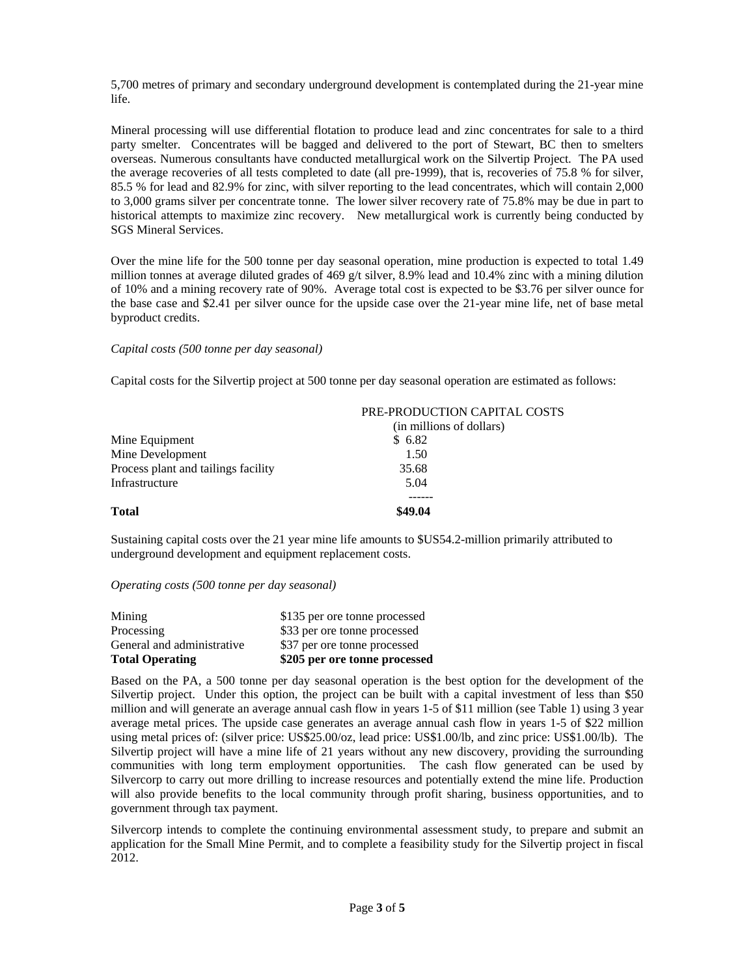5,700 metres of primary and secondary underground development is contemplated during the 21-year mine life.

Mineral processing will use differential flotation to produce lead and zinc concentrates for sale to a third party smelter. Concentrates will be bagged and delivered to the port of Stewart, BC then to smelters overseas. Numerous consultants have conducted metallurgical work on the Silvertip Project. The PA used the average recoveries of all tests completed to date (all pre-1999), that is, recoveries of 75.8 % for silver, 85.5 % for lead and 82.9% for zinc, with silver reporting to the lead concentrates, which will contain 2,000 to 3,000 grams silver per concentrate tonne. The lower silver recovery rate of 75.8% may be due in part to historical attempts to maximize zinc recovery. New metallurgical work is currently being conducted by SGS Mineral Services.

Over the mine life for the 500 tonne per day seasonal operation, mine production is expected to total 1.49 million tonnes at average diluted grades of 469 g/t silver, 8.9% lead and 10.4% zinc with a mining dilution of 10% and a mining recovery rate of 90%. Average total cost is expected to be \$3.76 per silver ounce for the base case and \$2.41 per silver ounce for the upside case over the 21-year mine life, net of base metal byproduct credits.

#### *Capital costs (500 tonne per day seasonal)*

Capital costs for the Silvertip project at 500 tonne per day seasonal operation are estimated as follows:

|                                     | PRE-PRODUCTION CAPITAL COSTS |
|-------------------------------------|------------------------------|
|                                     | (in millions of dollars)     |
| Mine Equipment                      | \$ 6.82                      |
| Mine Development                    | 1.50                         |
| Process plant and tailings facility | 35.68                        |
| Infrastructure                      | 5.04                         |
|                                     |                              |
| <b>Total</b>                        | \$49.04                      |

Sustaining capital costs over the 21 year mine life amounts to \$US54.2-million primarily attributed to underground development and equipment replacement costs.

*Operating costs (500 tonne per day seasonal)* 

| <b>Total Operating</b>     | \$205 per ore tonne processed |
|----------------------------|-------------------------------|
| General and administrative | \$37 per ore tonne processed  |
| Processing                 | \$33 per ore tonne processed  |
| Mining                     | \$135 per ore tonne processed |

Based on the PA, a 500 tonne per day seasonal operation is the best option for the development of the Silvertip project. Under this option, the project can be built with a capital investment of less than \$50 million and will generate an average annual cash flow in years 1-5 of \$11 million (see Table 1) using 3 year average metal prices. The upside case generates an average annual cash flow in years 1-5 of \$22 million using metal prices of: (silver price: US\$25.00/oz, lead price: US\$1.00/lb, and zinc price: US\$1.00/lb). The Silvertip project will have a mine life of 21 years without any new discovery, providing the surrounding communities with long term employment opportunities. The cash flow generated can be used by Silvercorp to carry out more drilling to increase resources and potentially extend the mine life. Production will also provide benefits to the local community through profit sharing, business opportunities, and to government through tax payment.

Silvercorp intends to complete the continuing environmental assessment study, to prepare and submit an application for the Small Mine Permit, and to complete a feasibility study for the Silvertip project in fiscal 2012.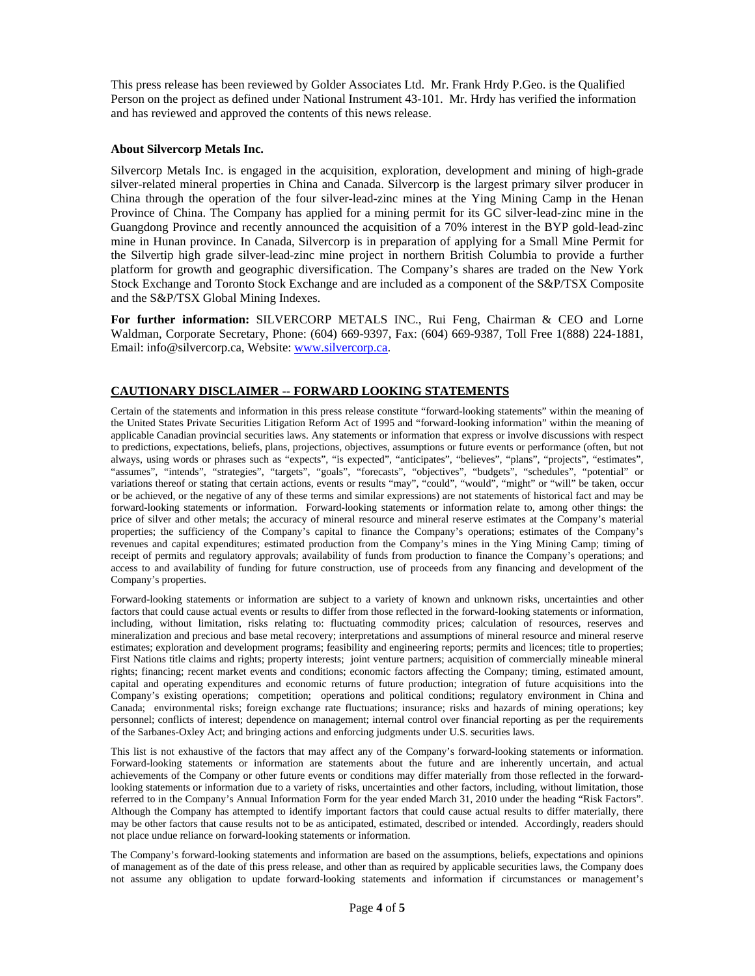This press release has been reviewed by Golder Associates Ltd. Mr. Frank Hrdy P.Geo. is the Qualified Person on the project as defined under National Instrument 43-101. Mr. Hrdy has verified the information and has reviewed and approved the contents of this news release.

## **About Silvercorp Metals Inc.**

Silvercorp Metals Inc. is engaged in the acquisition, exploration, development and mining of high-grade silver-related mineral properties in China and Canada. Silvercorp is the largest primary silver producer in China through the operation of the four silver-lead-zinc mines at the Ying Mining Camp in the Henan Province of China. The Company has applied for a mining permit for its GC silver-lead-zinc mine in the Guangdong Province and recently announced the acquisition of a 70% interest in the BYP gold-lead-zinc mine in Hunan province. In Canada, Silvercorp is in preparation of applying for a Small Mine Permit for the Silvertip high grade silver-lead-zinc mine project in northern British Columbia to provide a further platform for growth and geographic diversification. The Company's shares are traded on the New York Stock Exchange and Toronto Stock Exchange and are included as a component of the S&P/TSX Composite and the S&P/TSX Global Mining Indexes.

**For further information:** SILVERCORP METALS INC., Rui Feng, Chairman & CEO and Lorne Waldman, Corporate Secretary, Phone: (604) 669-9397, Fax: (604) 669-9387, Toll Free 1(888) 224-1881, Email: info@silvercorp.ca, Website: www.silvercorp.ca.

# **CAUTIONARY DISCLAIMER -- FORWARD LOOKING STATEMENTS**

Certain of the statements and information in this press release constitute "forward-looking statements" within the meaning of the United States Private Securities Litigation Reform Act of 1995 and "forward-looking information" within the meaning of applicable Canadian provincial securities laws. Any statements or information that express or involve discussions with respect to predictions, expectations, beliefs, plans, projections, objectives, assumptions or future events or performance (often, but not always, using words or phrases such as "expects", "is expected", "anticipates", "believes", "plans", "projects", "estimates", "assumes", "intends", "strategies", "targets", "goals", "forecasts", "objectives", "budgets", "schedules", "potential" or variations thereof or stating that certain actions, events or results "may", "could", "would", "might" or "will" be taken, occur or be achieved, or the negative of any of these terms and similar expressions) are not statements of historical fact and may be forward-looking statements or information. Forward-looking statements or information relate to, among other things: the price of silver and other metals; the accuracy of mineral resource and mineral reserve estimates at the Company's material properties; the sufficiency of the Company's capital to finance the Company's operations; estimates of the Company's revenues and capital expenditures; estimated production from the Company's mines in the Ying Mining Camp; timing of receipt of permits and regulatory approvals; availability of funds from production to finance the Company's operations; and access to and availability of funding for future construction, use of proceeds from any financing and development of the Company's properties.

Forward-looking statements or information are subject to a variety of known and unknown risks, uncertainties and other factors that could cause actual events or results to differ from those reflected in the forward-looking statements or information, including, without limitation, risks relating to: fluctuating commodity prices; calculation of resources, reserves and mineralization and precious and base metal recovery; interpretations and assumptions of mineral resource and mineral reserve estimates; exploration and development programs; feasibility and engineering reports; permits and licences; title to properties; First Nations title claims and rights; property interests; joint venture partners; acquisition of commercially mineable mineral rights; financing; recent market events and conditions; economic factors affecting the Company; timing, estimated amount, capital and operating expenditures and economic returns of future production; integration of future acquisitions into the Company's existing operations; competition; operations and political conditions; regulatory environment in China and Canada; environmental risks; foreign exchange rate fluctuations; insurance; risks and hazards of mining operations; key personnel; conflicts of interest; dependence on management; internal control over financial reporting as per the requirements of the Sarbanes-Oxley Act; and bringing actions and enforcing judgments under U.S. securities laws.

This list is not exhaustive of the factors that may affect any of the Company's forward-looking statements or information. Forward-looking statements or information are statements about the future and are inherently uncertain, and actual achievements of the Company or other future events or conditions may differ materially from those reflected in the forwardlooking statements or information due to a variety of risks, uncertainties and other factors, including, without limitation, those referred to in the Company's Annual Information Form for the year ended March 31, 2010 under the heading "Risk Factors". Although the Company has attempted to identify important factors that could cause actual results to differ materially, there may be other factors that cause results not to be as anticipated, estimated, described or intended. Accordingly, readers should not place undue reliance on forward-looking statements or information.

The Company's forward-looking statements and information are based on the assumptions, beliefs, expectations and opinions of management as of the date of this press release, and other than as required by applicable securities laws, the Company does not assume any obligation to update forward-looking statements and information if circumstances or management's